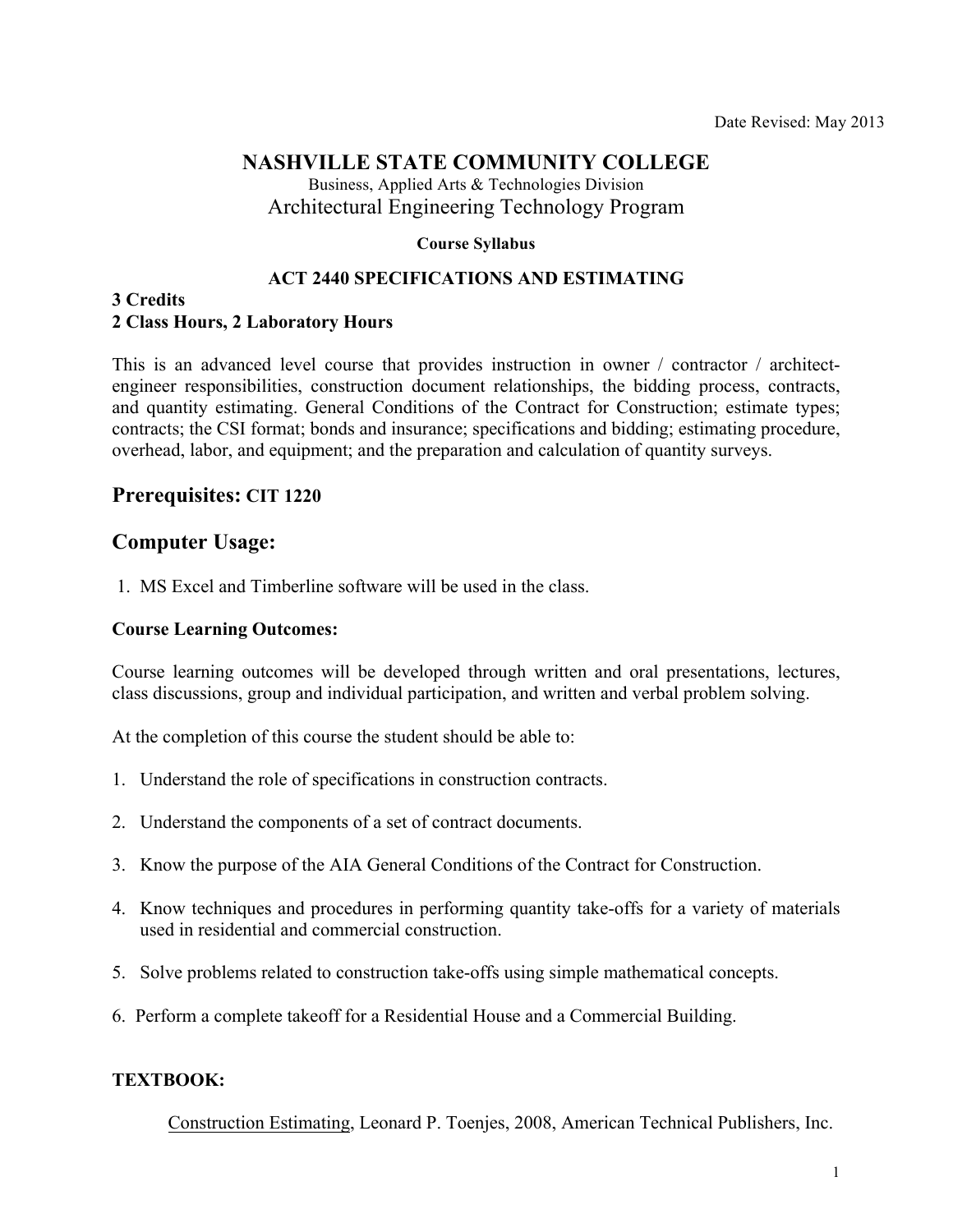### **NASHVILLE STATE COMMUNITY COLLEGE**

Business, Applied Arts & Technologies Division Architectural Engineering Technology Program

#### **Course Syllabus**

#### **ACT 2440 SPECIFICATIONS AND ESTIMATING**

#### **3 Credits 2 Class Hours, 2 Laboratory Hours**

This is an advanced level course that provides instruction in owner / contractor / architectengineer responsibilities, construction document relationships, the bidding process, contracts, and quantity estimating. General Conditions of the Contract for Construction; estimate types; contracts; the CSI format; bonds and insurance; specifications and bidding; estimating procedure, overhead, labor, and equipment; and the preparation and calculation of quantity surveys.

### **Prerequisites: CIT 1220**

#### **Computer Usage:**

1. MS Excel and Timberline software will be used in the class.

#### **Course Learning Outcomes:**

Course learning outcomes will be developed through written and oral presentations, lectures, class discussions, group and individual participation, and written and verbal problem solving.

At the completion of this course the student should be able to:

- 1. Understand the role of specifications in construction contracts.
- 2. Understand the components of a set of contract documents.
- 3. Know the purpose of the AIA General Conditions of the Contract for Construction.
- 4. Know techniques and procedures in performing quantity take-offs for a variety of materials used in residential and commercial construction.
- 5. Solve problems related to construction take-offs using simple mathematical concepts.
- 6. Perform a complete takeoff for a Residential House and a Commercial Building.

#### **TEXTBOOK:**

Construction Estimating, Leonard P. Toenjes, 2008, American Technical Publishers, Inc.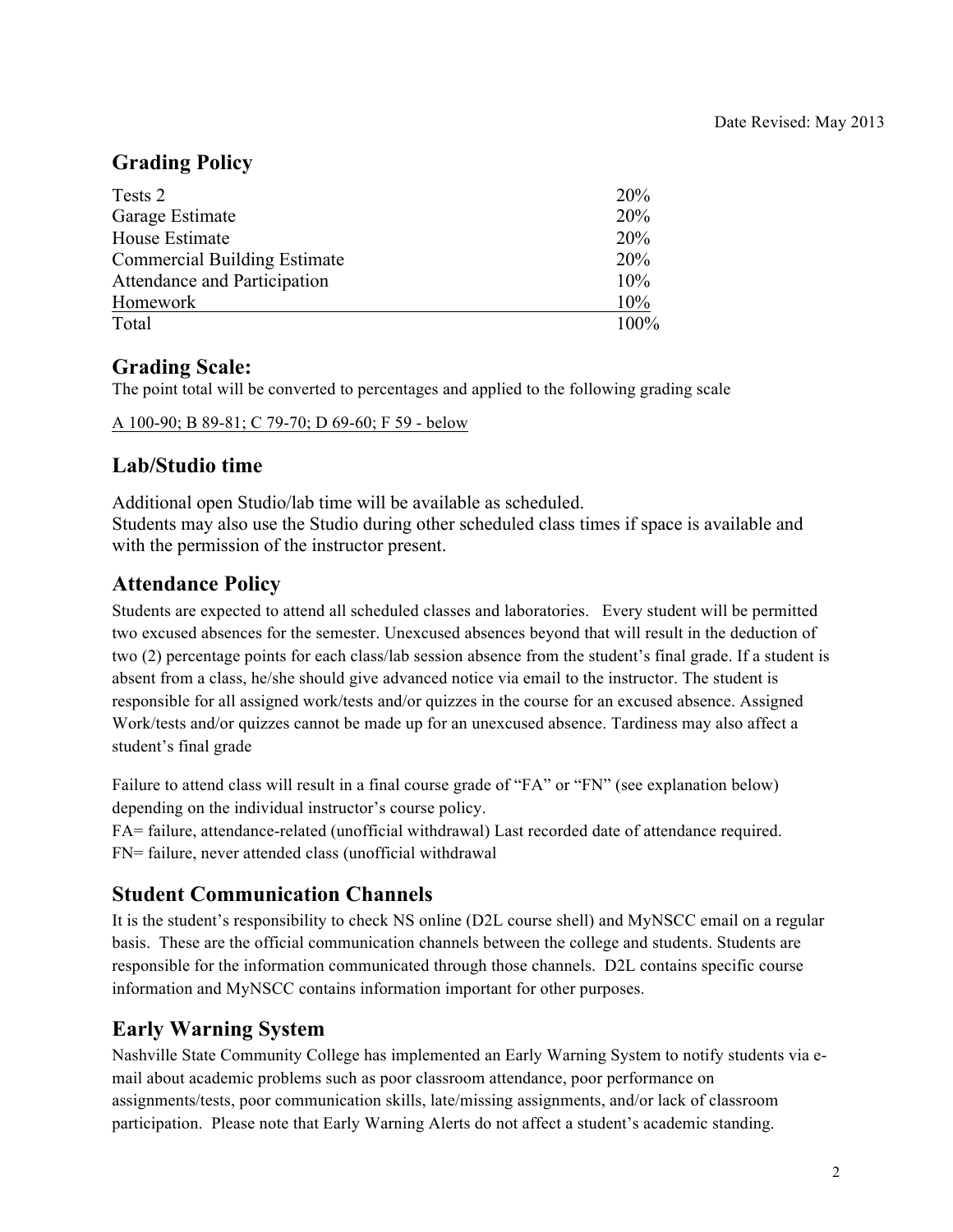## **Grading Policy**

| Tests 2                             | 20%  |
|-------------------------------------|------|
| Garage Estimate                     | 20%  |
| House Estimate                      | 20%  |
| <b>Commercial Building Estimate</b> | 20%  |
| Attendance and Participation        | 10%  |
| Homework                            | 10%  |
| Total                               | 100% |

## **Grading Scale:**

The point total will be converted to percentages and applied to the following grading scale

A 100-90; B 89-81; C 79-70; D 69-60; F 59 - below

### **Lab/Studio time**

Additional open Studio/lab time will be available as scheduled. Students may also use the Studio during other scheduled class times if space is available and with the permission of the instructor present.

## **Attendance Policy**

Students are expected to attend all scheduled classes and laboratories. Every student will be permitted two excused absences for the semester. Unexcused absences beyond that will result in the deduction of two (2) percentage points for each class/lab session absence from the student's final grade. If a student is absent from a class, he/she should give advanced notice via email to the instructor. The student is responsible for all assigned work/tests and/or quizzes in the course for an excused absence. Assigned Work/tests and/or quizzes cannot be made up for an unexcused absence. Tardiness may also affect a student's final grade

Failure to attend class will result in a final course grade of "FA" or "FN" (see explanation below) depending on the individual instructor's course policy.

FA= failure, attendance-related (unofficial withdrawal) Last recorded date of attendance required. FN= failure, never attended class (unofficial withdrawal

## **Student Communication Channels**

It is the student's responsibility to check NS online (D2L course shell) and MyNSCC email on a regular basis. These are the official communication channels between the college and students. Students are responsible for the information communicated through those channels. D2L contains specific course information and MyNSCC contains information important for other purposes.

# **Early Warning System**

Nashville State Community College has implemented an Early Warning System to notify students via email about academic problems such as poor classroom attendance, poor performance on assignments/tests, poor communication skills, late/missing assignments, and/or lack of classroom participation. Please note that Early Warning Alerts do not affect a student's academic standing.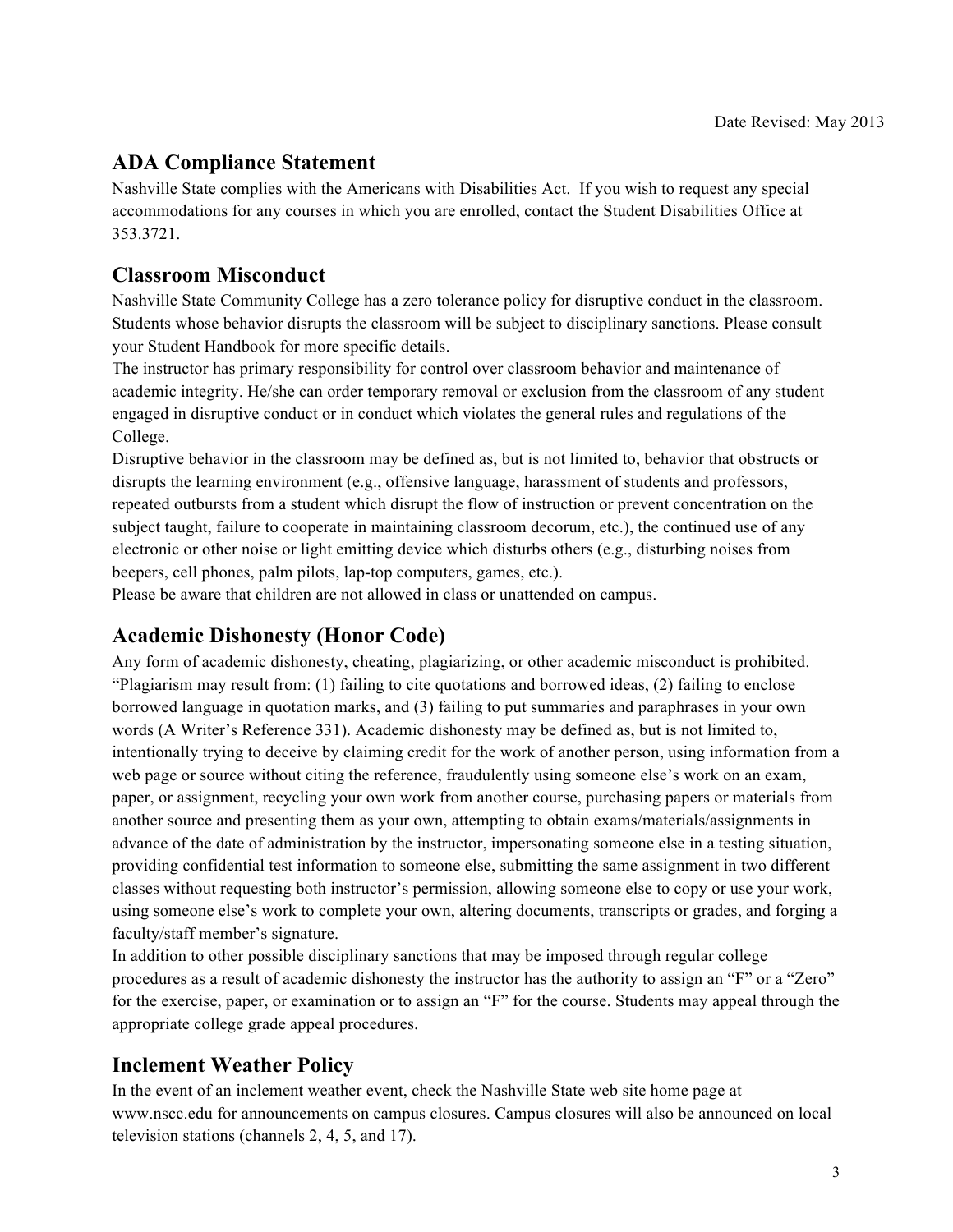# **ADA Compliance Statement**

Nashville State complies with the Americans with Disabilities Act. If you wish to request any special accommodations for any courses in which you are enrolled, contact the Student Disabilities Office at 353.3721.

## **Classroom Misconduct**

Nashville State Community College has a zero tolerance policy for disruptive conduct in the classroom. Students whose behavior disrupts the classroom will be subject to disciplinary sanctions. Please consult your Student Handbook for more specific details.

The instructor has primary responsibility for control over classroom behavior and maintenance of academic integrity. He/she can order temporary removal or exclusion from the classroom of any student engaged in disruptive conduct or in conduct which violates the general rules and regulations of the College.

Disruptive behavior in the classroom may be defined as, but is not limited to, behavior that obstructs or disrupts the learning environment (e.g., offensive language, harassment of students and professors, repeated outbursts from a student which disrupt the flow of instruction or prevent concentration on the subject taught, failure to cooperate in maintaining classroom decorum, etc.), the continued use of any electronic or other noise or light emitting device which disturbs others (e.g., disturbing noises from beepers, cell phones, palm pilots, lap-top computers, games, etc.).

Please be aware that children are not allowed in class or unattended on campus.

# **Academic Dishonesty (Honor Code)**

Any form of academic dishonesty, cheating, plagiarizing, or other academic misconduct is prohibited. "Plagiarism may result from: (1) failing to cite quotations and borrowed ideas, (2) failing to enclose borrowed language in quotation marks, and (3) failing to put summaries and paraphrases in your own words (A Writer's Reference 331). Academic dishonesty may be defined as, but is not limited to, intentionally trying to deceive by claiming credit for the work of another person, using information from a web page or source without citing the reference, fraudulently using someone else's work on an exam, paper, or assignment, recycling your own work from another course, purchasing papers or materials from another source and presenting them as your own, attempting to obtain exams/materials/assignments in advance of the date of administration by the instructor, impersonating someone else in a testing situation, providing confidential test information to someone else, submitting the same assignment in two different classes without requesting both instructor's permission, allowing someone else to copy or use your work, using someone else's work to complete your own, altering documents, transcripts or grades, and forging a faculty/staff member's signature.

In addition to other possible disciplinary sanctions that may be imposed through regular college procedures as a result of academic dishonesty the instructor has the authority to assign an "F" or a "Zero" for the exercise, paper, or examination or to assign an "F" for the course. Students may appeal through the appropriate college grade appeal procedures.

# **Inclement Weather Policy**

In the event of an inclement weather event, check the Nashville State web site home page at www.nscc.edu for announcements on campus closures. Campus closures will also be announced on local television stations (channels 2, 4, 5, and 17).